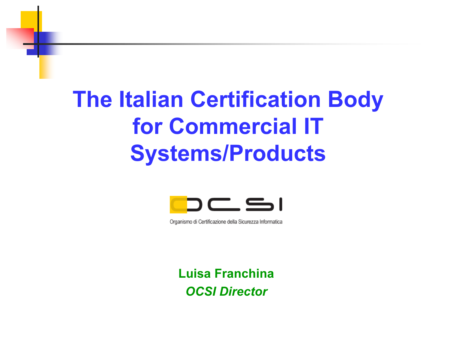## The Italian Certification Body for Commercial ITSystems/Products



Organismo di Certificazione della Sicurezza Informatica

Luisa FranchinaOCSI Director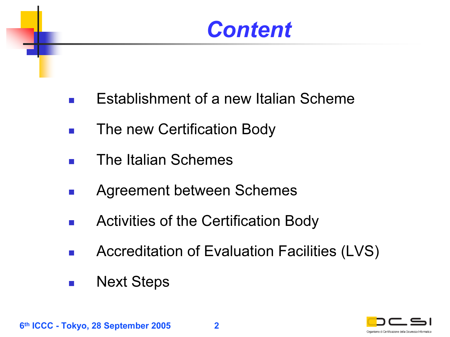#### **Content**

- F Establishment of a new Italian Scheme
- $\mathcal{L}^{\mathcal{A}}$ The new Certification Body
- $\overline{\phantom{a}}$ The Italian Schemes
- $\mathcal{L}(\mathcal{A})$ Agreement between Schemes
- $\sim$ Activities of the Certification Body
- $\sim$ Accreditation of Evaluation Facilities (LVS)
- $\mathcal{L}_{\mathcal{A}}$ Next Steps

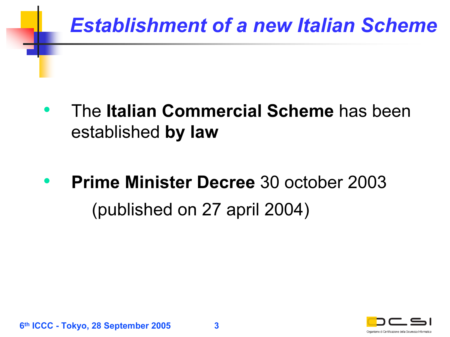#### Establishment of a new Italian Scheme

- •• The Italian Commercial Scheme has been established **by law**
- •**• Prime Minister Decree** 30 october 2003 (published on 27 april 2004)

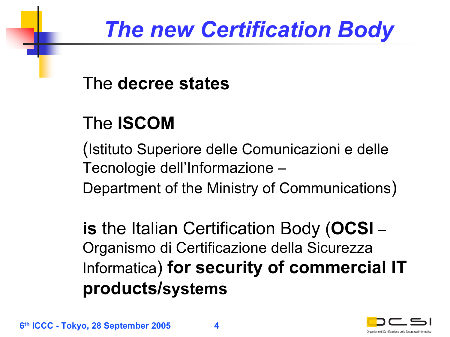### The new Certification Body

#### The decree states

#### The ISCOM

(Istituto Superiore delle Comunicazioni e delle Tecnologie dell'Informazione –

Department of the Ministry of Communications)

**is** the Italian Certification Body (**OCSI** – Organismo di Certificazione della Sicurezza Informatica) for security of commercial IT products/systems

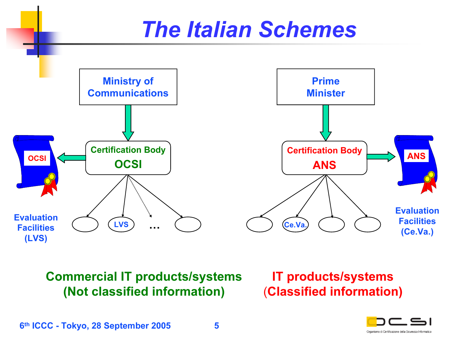

Commercial IT products/systems (Not classified information)

IT products/systems *(*Classified information)

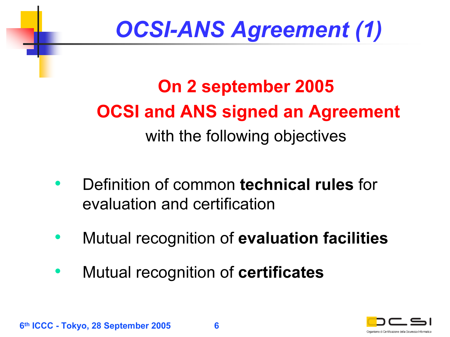## OCSI-ANS Agreement (1)

On 2 september 2005 OCSI and ANS signed an Agreement with the following objectives

- •• Definition of common technical rules for evaluation and certification
- $\bullet$ Mutual recognition of evaluation facilities
- •Mutual recognition of certificates

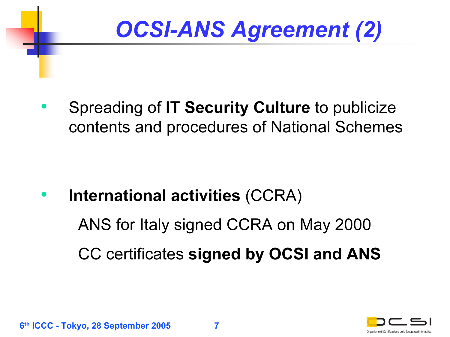# OCSI-ANS Agreement (2)

• Spreading of IT Security Culture to publicize contents and procedures of National Schemes

•**• International activities (CCRA)** ANS for Italy signed CCRA on May 2000 CC certificates signed by OCSI and ANS

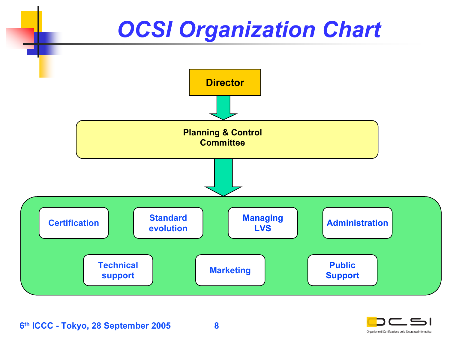### **OCSI Organization Chart**



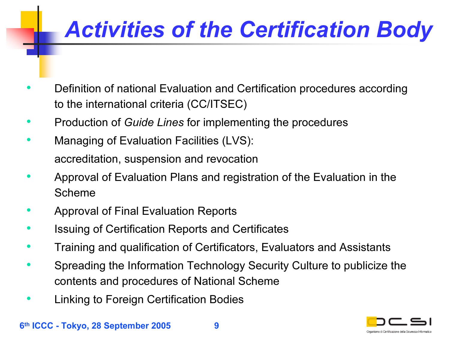# Activities of the Certification Body

- • Definition of national Evaluation and Certification procedures according to the international criteria (CC/ITSEC)
- •• Production of Guide Lines for implementing the procedures
- $\bullet$  Managing of Evaluation Facilities (LVS): accreditation, suspension and revocation
- • Approval of Evaluation Plans and registration of the Evaluation in the Scheme
- •Approval of Final Evaluation Reports
- •Issuing of Certification Reports and Certificates
- $\bullet$ Training and qualification of Certificators, Evaluators and Assistants
- • Spreading the Information Technology Security Culture to publicize the contents and procedures of National Scheme
- •Linking to Foreign Certification Bodies

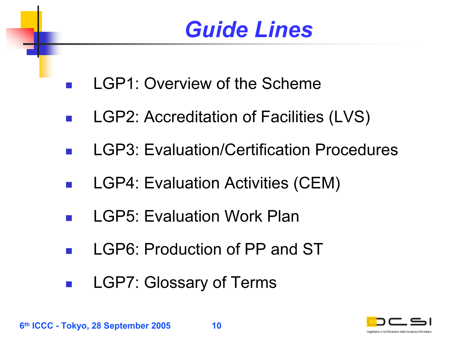### Guide Lines

- F LGP1: Overview of the Scheme
- **I** LGP2: Accreditation of Facilities (LVS)
- LGP3: Evaluation/Certification Procedures
- LGP4: Evaluation Activities (CEM)
- LGP5: Evaluation Work Plan
- p. LGP6: Production of PP and ST
- $\mathcal{L}^{\text{max}}_{\text{max}}$ LGP7: Glossary of Terms



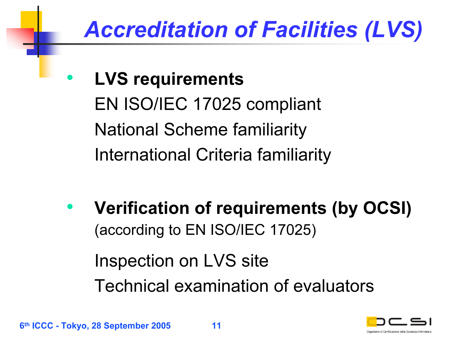## Accreditation of Facilities (LVS)

• LVS requirements EN ISO/IEC 17025 compliant National Scheme familiarity International Criteria familiarity

 $\bullet$  Verification of requirements (by OCSI) (according to EN ISO/IEC 17025) Inspection on LVS site Technical examination of evaluators



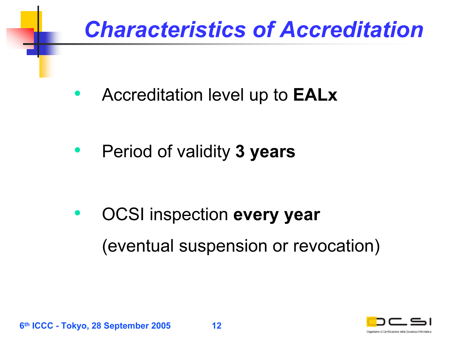#### Characteristics of Accreditation

•Accreditation level up to EALx

•Period of validity 3 years

• OCSI inspection every year (eventual suspension or revocation)

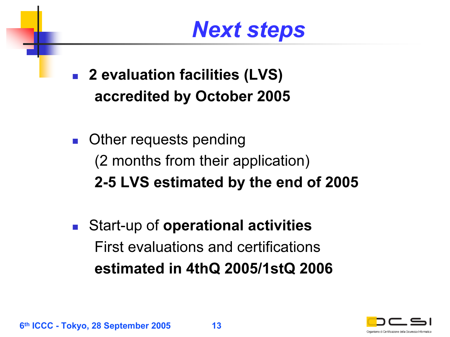### Next steps

- 2 evaluation facilities (LVS) accredited by October 2005
- $\mathcal{L}_{\rm{max}}$  Other requests pending (2 months from their application) 2-5 LVS estimated by the end of 2005
- $\mathcal{L}_{\mathcal{A}}$  Start-up of operational activities First evaluations and certificationsestimated in 4thQ 2005/1stQ 2006